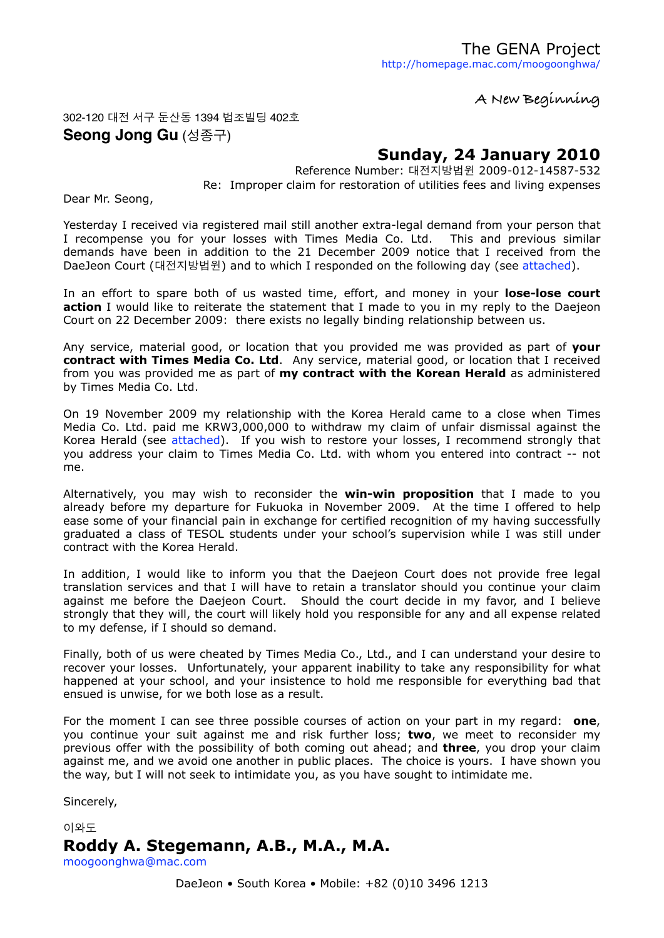**A New Beginning**

#### 302-120 대전 서구 둔산동 1394 법조빌딩 402호 **Seong Jong Gu** (성종구)

## **Sunday, 24 January 2010**

Reference Number: 대전지방법윈 2009-012-14587-532 Re: Improper claim for restoration of utilities fees and living expenses

Dear Mr. Seong,

Yesterday I received via registered mail still another extra-legal demand from your person that I recompense you for your losses with Times Media Co. Ltd. This and previous similar demands have been in addition to the 21 December 2009 notice that I received from the DaeJeon Court (대전지방법윈) and to which I responded on the following day (see [attached\)](#page-2-0).

In an effort to spare both of us wasted time, effort, and money in your **lose-lose court action** I would like to reiterate the statement that I made to you in my reply to the Daejeon Court on 22 December 2009: there exists no legally binding relationship between us.

Any service, material good, or location that you provided me was provided as part of **your contract with Times Media Co. Ltd**. Any service, material good, or location that I received from you was provided me as part of **my contract with the Korean Herald** as administered by Times Media Co. Ltd.

On 19 November 2009 my relationship with the Korea Herald came to a close when Times Media Co. Ltd. paid me KRW3,000,000 to withdraw my claim of unfair dismissal against the Korea Herald (see [attached\)](#page-3-0). If you wish to restore your losses, I recommend strongly that you address your claim to Times Media Co. Ltd. with whom you entered into contract -- not me.

Alternatively, you may wish to reconsider the **win-win proposition** that I made to you already before my departure for Fukuoka in November 2009. At the time I offered to help ease some of your financial pain in exchange for certified recognition of my having successfully graduated a class of TESOL students under your school's supervision while I was still under contract with the Korea Herald.

In addition, I would like to inform you that the Daejeon Court does not provide free legal translation services and that I will have to retain a translator should you continue your claim against me before the Daejeon Court. Should the court decide in my favor, and I believe strongly that they will, the court will likely hold you responsible for any and all expense related to my defense, if I should so demand.

Finally, both of us were cheated by Times Media Co., Ltd., and I can understand your desire to recover your losses. Unfortunately, your apparent inability to take any responsibility for what happened at your school, and your insistence to hold me responsible for everything bad that ensued is unwise, for we both lose as a result.

For the moment I can see three possible courses of action on your part in my regard: **one**, you continue your suit against me and risk further loss; **two**, we meet to reconsider my previous offer with the possibility of both coming out ahead; and **three**, you drop your claim against me, and we avoid one another in public places. The choice is yours. I have shown you the way, but I will not seek to intimidate you, as you have sought to intimidate me.

Sincerely,

이와도

### **Roddy A. Stegemann, A.B., M.A., M.A.**

[moogoonghwa@mac.com](mailto:moogoonghwa@mac.com)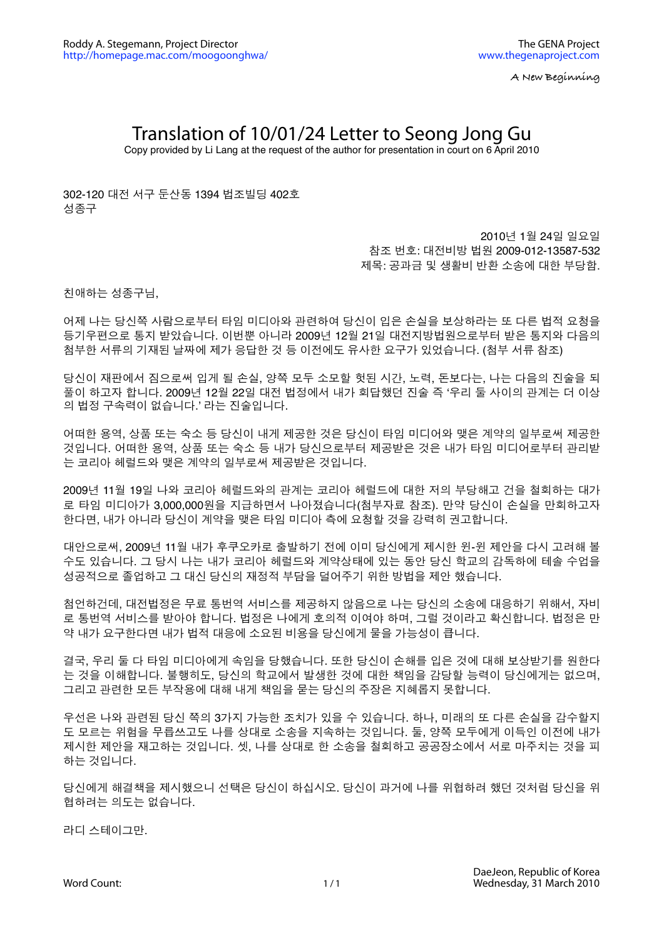**A New Beginning**

# Translation of 10/01/24 Letter to Seong Jong Gu

Copy provided by Li Lang at the request of the author for presentation in court on 6 April 2010

302-120 대전 서구 둔산동 1394 법조빌딩 402호 성종구

> 2010년 1월 24일 일요일 참조 번호: 대전비방 법원 2009-012-13587-532 제목: 공과금 및 생활비 반환 소송에 대한 부당함.

친애하는 성종구님,

어제 나는 당신쪽 사람으로부터 타임 미디아와 관련하여 당신이 입은 손실을 보상하라는 또 다른 법적 요청을 등기우편으로 통지 받았습니다. 이번뿐 아니라 2009년 12월 21일 대전지방법원으로부터 받은 통지와 다음의 첨부한 서류의 기재된 날짜에 제가 응답한 것 등 이전에도 유사한 요구가 있었습니다. (첨부 서류 참조)

당신이 재판에서 짐으로써 입게 될 손실, 양쪽 모두 소모할 헛된 시간, 노력, 돈보다는, 나는 다음의 진술을 되 풀이 하고자 합니다. 2009년 12월 22일 대전 법정에서 내가 회답했던 진술 즉 ʻ우리 둘 사이의 관계는 더 이상 의 법정 구속력이 없습니다.' 라는 진술입니다.

어떠한 용역, 상품 또는 숙소 등 당신이 내게 제공한 것은 당신이 타임 미디어와 맺은 계약의 일부로써 제공한 것입니다. 어떠한 용역, 상품 또는 숙소 등 내가 당신으로부터 제공받은 것은 내가 타임 미디어로부터 관리받 는 코리아 헤럴드와 맺은 계약의 일부로써 제공받은 것입니다.

2009년 11월 19일 나와 코리아 헤럴드와의 관계는 코리아 헤럴드에 대한 저의 부당해고 건을 철회하는 대가 로 타임 미디아가 3,000,000원을 지급하면서 나아졌습니다(첨부자료 참조). 만약 당신이 손실을 만회하고자 한다면, 내가 아니라 당신이 계약을 맺은 타임 미디아 측에 요청할 것을 강력히 권고합니다.

대안으로써, 2009년 11월 내가 후쿠오카로 출발하기 전에 이미 당신에게 제시한 윈-윈 제안을 다시 고려해 볼 수도 있습니다. 그 당시 나는 내가 코리아 헤럴드와 계약상태에 있는 동안 당신 학교의 감독하에 테솔 수업을 성공적으로 졸업하고 그 대신 당신의 재정적 부담을 덜어주기 위한 방법을 제안 했습니다.

첨언하건데, 대전법정은 무료 통번역 서비스를 제공하지 않음으로 나는 당신의 소송에 대응하기 위해서, 자비 로 통번역 서비스를 받아야 합니다. 법정은 나에게 호의적 이여야 하며, 그럴 것이라고 확신합니다. 법정은 만 약 내가 요구한다면 내가 법적 대응에 소요된 비용을 당신에게 물을 가능성이 큽니다.

결국, 우리 둘 다 타임 미디아에게 속임을 당했습니다. 또한 당신이 손해를 입은 것에 대해 보상받기를 원한다 는 것을 이해합니다. 불행히도, 당신의 학교에서 발생한 것에 대한 책임을 감당할 능력이 당신에게는 없으며, 그리고 관련한 모든 부작용에 대해 내게 책임을 묻는 당신의 주장은 지혜롭지 못합니다.

우선은 나와 관련된 당신 쪽의 3가지 가능한 조치가 있을 수 있습니다. 하나, 미래의 또 다른 손실을 감수할지 도 모르는 위험을 무릅쓰고도 나를 상대로 소송을 지속하는 것입니다. 둘, 양쪽 모두에게 이득인 이전에 내가 제시한 제안을 재고하는 것입니다. 셋, 나를 상대로 한 소송을 철회하고 공공장소에서 서로 마주치는 것을 피 하는 것입니다.

당신에게 해결책을 제시했으니 선택은 당신이 하십시오. 당신이 과거에 나를 위협하려 했던 것처럼 당신을 위 협하려는 의도는 없습니다.

라디 스테이그만.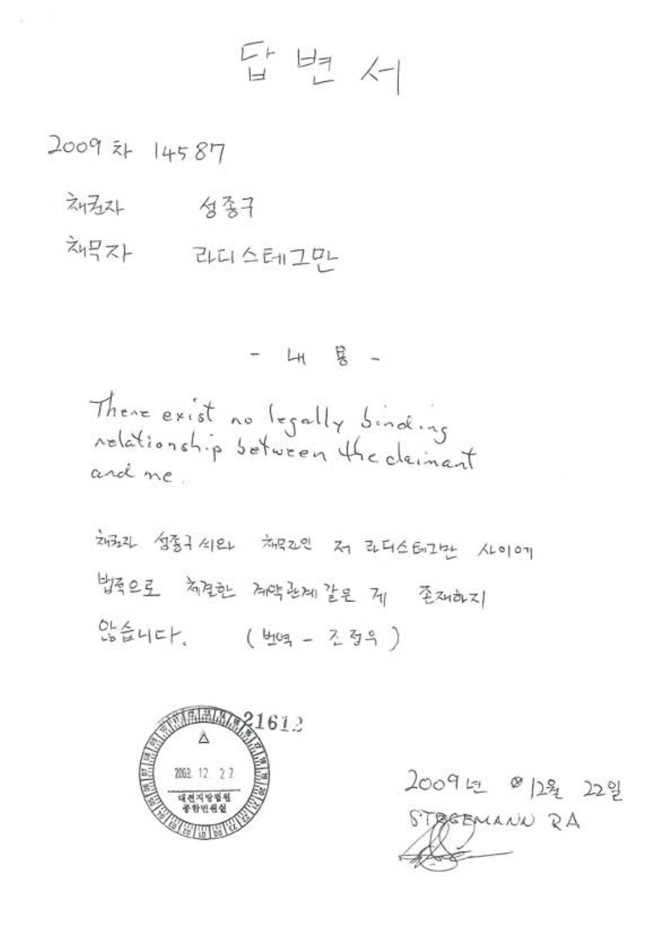# 단 보 서

2009 21 14587

- 刘云4 一 包含子
- 채무자 라디스테그먼

 $4 + 8 -$ 

There exist no legally binding relationship setween the deinant and me.

24324 성종구 4124 처음2인 저 라디스터그는 사이에 物之子 前生地 两时出现生之 21 至2402 않습니다. (번역 - 조정의)



2009년 이2월 22일 STAGEMANN RA